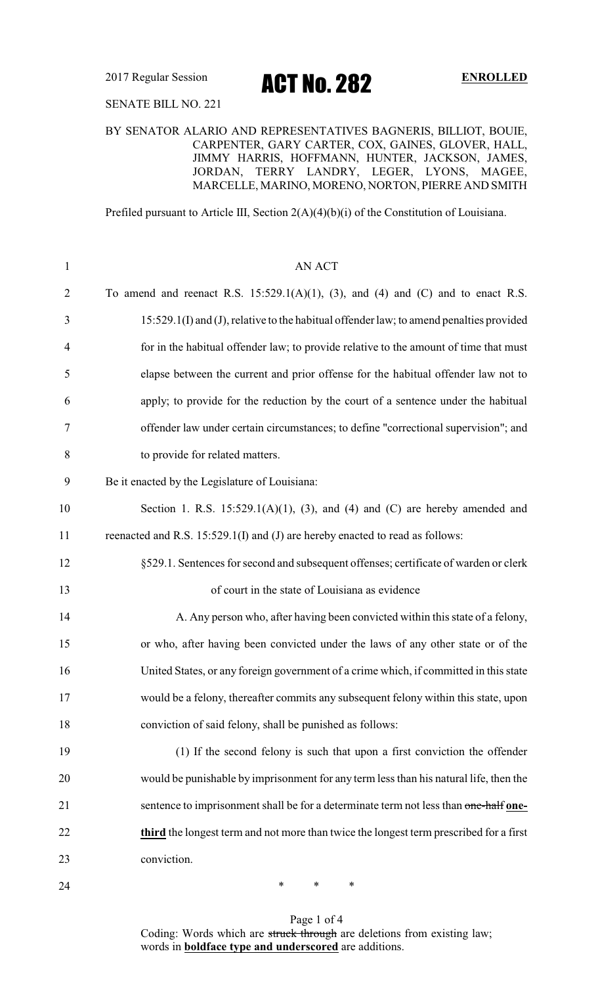2017 Regular Session **ACT NO. 282** ENROLLED

SENATE BILL NO. 221

### BY SENATOR ALARIO AND REPRESENTATIVES BAGNERIS, BILLIOT, BOUIE, CARPENTER, GARY CARTER, COX, GAINES, GLOVER, HALL, JIMMY HARRIS, HOFFMANN, HUNTER, JACKSON, JAMES, JORDAN, TERRY LANDRY, LEGER, LYONS, MAGEE, MARCELLE, MARINO, MORENO, NORTON, PIERRE AND SMITH

Prefiled pursuant to Article III, Section 2(A)(4)(b)(i) of the Constitution of Louisiana.

| $\mathbf{1}$   | <b>AN ACT</b>                                                                           |
|----------------|-----------------------------------------------------------------------------------------|
| $\overline{2}$ | To amend and reenact R.S. $15:529.1(A)(1)$ , (3), and (4) and (C) and to enact R.S.     |
| 3              | 15:529.1(I) and (J), relative to the habitual offender law; to amend penalties provided |
| $\overline{4}$ | for in the habitual offender law; to provide relative to the amount of time that must   |
| 5              | elapse between the current and prior offense for the habitual offender law not to       |
| 6              | apply; to provide for the reduction by the court of a sentence under the habitual       |
| 7              | offender law under certain circumstances; to define "correctional supervision"; and     |
| 8              | to provide for related matters.                                                         |
| 9              | Be it enacted by the Legislature of Louisiana:                                          |
| 10             | Section 1. R.S. $15:529.1(A)(1)$ , (3), and (4) and (C) are hereby amended and          |
| 11             | reenacted and R.S. 15:529.1(I) and (J) are hereby enacted to read as follows:           |
| 12             | §529.1. Sentences for second and subsequent offenses; certificate of warden or clerk    |
| 13             | of court in the state of Louisiana as evidence                                          |
| 14             | A. Any person who, after having been convicted within this state of a felony,           |
| 15             | or who, after having been convicted under the laws of any other state or of the         |
| 16             | United States, or any foreign government of a crime which, if committed in this state   |
| 17             | would be a felony, thereafter commits any subsequent felony within this state, upon     |
| 18             | conviction of said felony, shall be punished as follows:                                |
| 19             | (1) If the second felony is such that upon a first conviction the offender              |
| 20             | would be punishable by imprisonment for any term less than his natural life, then the   |
| 21             | sentence to imprisonment shall be for a determinate term not less than one-half one-    |
| 22             | third the longest term and not more than twice the longest term prescribed for a first  |
| 23             | conviction.                                                                             |
| 24             | $\ast$<br>∗<br>∗                                                                        |

Page 1 of 4 Coding: Words which are struck through are deletions from existing law; words in **boldface type and underscored** are additions.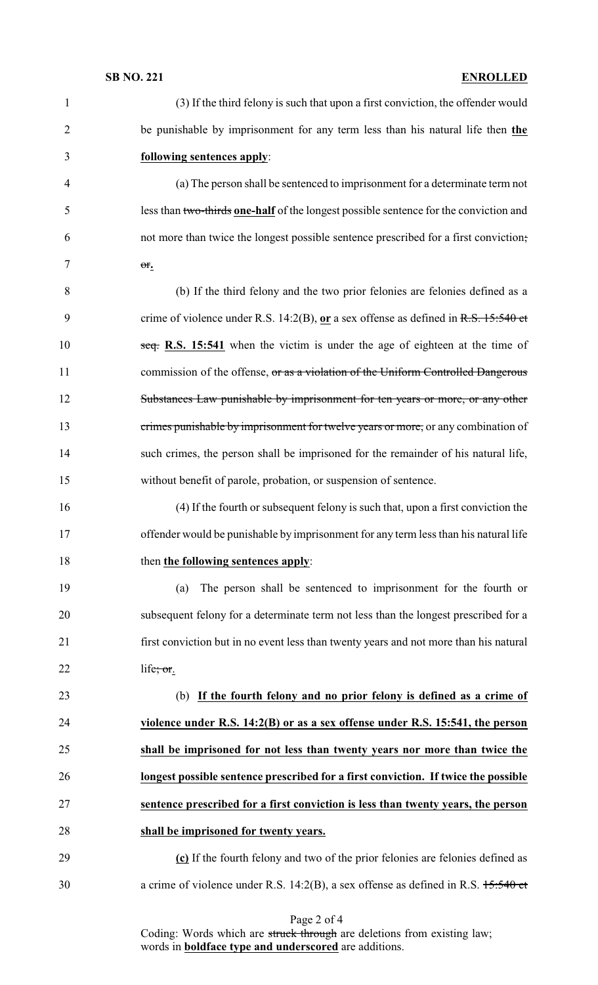| $\mathbf{1}$   | (3) If the third felony is such that upon a first conviction, the offender would      |
|----------------|---------------------------------------------------------------------------------------|
| $\overline{2}$ | be punishable by imprisonment for any term less than his natural life then the        |
| 3              | following sentences apply:                                                            |
| 4              | (a) The person shall be sentenced to imprisonment for a determinate term not          |
| 5              | less than two-thirds one-half of the longest possible sentence for the conviction and |
| 6              | not more than twice the longest possible sentence prescribed for a first conviction;  |
| 7              | $\theta$ f.                                                                           |
| $8\,$          | (b) If the third felony and the two prior felonies are felonies defined as a          |
| 9              | crime of violence under R.S. 14:2(B), or a sex offense as defined in R.S. $15:540$ et |
| 10             | seq. R.S. 15:541 when the victim is under the age of eighteen at the time of          |
| 11             | commission of the offense, or as a violation of the Uniform Controlled Dangerous      |
| 12             | Substances Law punishable by imprisonment for ten years or more, or any other         |
| 13             | crimes punishable by imprisonment for twelve years or more, or any combination of     |
| 14             | such crimes, the person shall be imprisoned for the remainder of his natural life,    |
| 15             | without benefit of parole, probation, or suspension of sentence.                      |
| 16             | (4) If the fourth or subsequent felony is such that, upon a first conviction the      |
| 17             | offender would be punishable by imprisonment for any term less than his natural life  |
| 18             | then the following sentences apply:                                                   |
| 19             | The person shall be sentenced to imprisonment for the fourth or<br>(a)                |
| 20             | subsequent felony for a determinate term not less than the longest prescribed for a   |
| 21             | first conviction but in no event less than twenty years and not more than his natural |
| 22             | life; $or.$                                                                           |
| 23             | (b) If the fourth felony and no prior felony is defined as a crime of                 |
| 24             | violence under R.S. $14:2(B)$ or as a sex offense under R.S. 15:541, the person       |
| 25             | shall be imprisoned for not less than twenty years nor more than twice the            |
| 26             | longest possible sentence prescribed for a first conviction. If twice the possible    |
| 27             | sentence prescribed for a first conviction is less than twenty years, the person      |
| 28             | shall be imprisoned for twenty years.                                                 |
| 29             | (c) If the fourth felony and two of the prior felonies are felonies defined as        |
| 30             | a crime of violence under R.S. 14:2(B), a sex offense as defined in R.S. $15:540$ et  |

Page 2 of 4

Coding: Words which are struck through are deletions from existing law; words in **boldface type and underscored** are additions.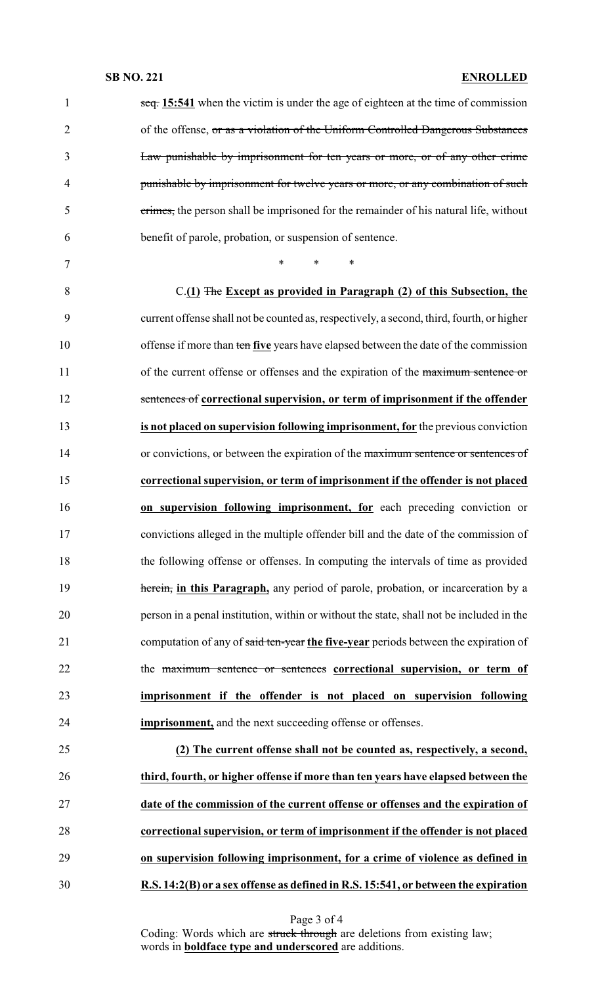### **SB NO. 221 ENROLLED**

| 1              | $\frac{15:541}{10:541}$ when the victim is under the age of eighteen at the time of commission |
|----------------|------------------------------------------------------------------------------------------------|
| $\overline{2}$ | of the offense, or as a violation of the Uniform Controlled Dangerous Substances               |
| 3              | Law punishable by imprisonment for ten years or more, or of any other crime                    |
| $\overline{4}$ | punishable by imprisonment for twelve years or more, or any combination of such                |
| 5              | crimes, the person shall be imprisoned for the remainder of his natural life, without          |
| 6              | benefit of parole, probation, or suspension of sentence.                                       |
| 7              | *<br>*<br>$\ast$                                                                               |
| 8              | C.(1) The Except as provided in Paragraph (2) of this Subsection, the                          |
| 9              | current offense shall not be counted as, respectively, a second, third, fourth, or higher      |
| 10             | offense if more than ten five years have elapsed between the date of the commission            |
| 11             | of the current offense or offenses and the expiration of the maximum sentence or               |
| 12             | sentences of correctional supervision, or term of imprisonment if the offender                 |
| 13             | is not placed on supervision following imprisonment, for the previous conviction               |
| 14             | or convictions, or between the expiration of the maximum sentence or sentences of              |
| 15             | correctional supervision, or term of imprisonment if the offender is not placed                |
| 16             | on supervision following imprisonment, for each preceding conviction or                        |
| 17             | convictions alleged in the multiple offender bill and the date of the commission of            |
| 18             | the following offense or offenses. In computing the intervals of time as provided              |
| 19             | herein, in this Paragraph, any period of parole, probation, or incarceration by a              |
| 20             | person in a penal institution, within or without the state, shall not be included in the       |
| 21             | computation of any of said ten-year the five-year periods between the expiration of            |
| 22             | the maximum sentence or sentences correctional supervision, or term of                         |
| 23             | imprisonment if the offender is not placed on supervision following                            |
| 24             | imprisonment, and the next succeeding offense or offenses.                                     |
| 25             | (2) The current offense shall not be counted as, respectively, a second,                       |
| 26             | third, fourth, or higher offense if more than ten years have elapsed between the               |
| 27             | date of the commission of the current offense or offenses and the expiration of                |
| 28             | correctional supervision, or term of imprisonment if the offender is not placed                |
| 29             | on supervision following imprisonment, for a crime of violence as defined in                   |
|                |                                                                                                |

Page 3 of 4

Coding: Words which are struck through are deletions from existing law; words in **boldface type and underscored** are additions.